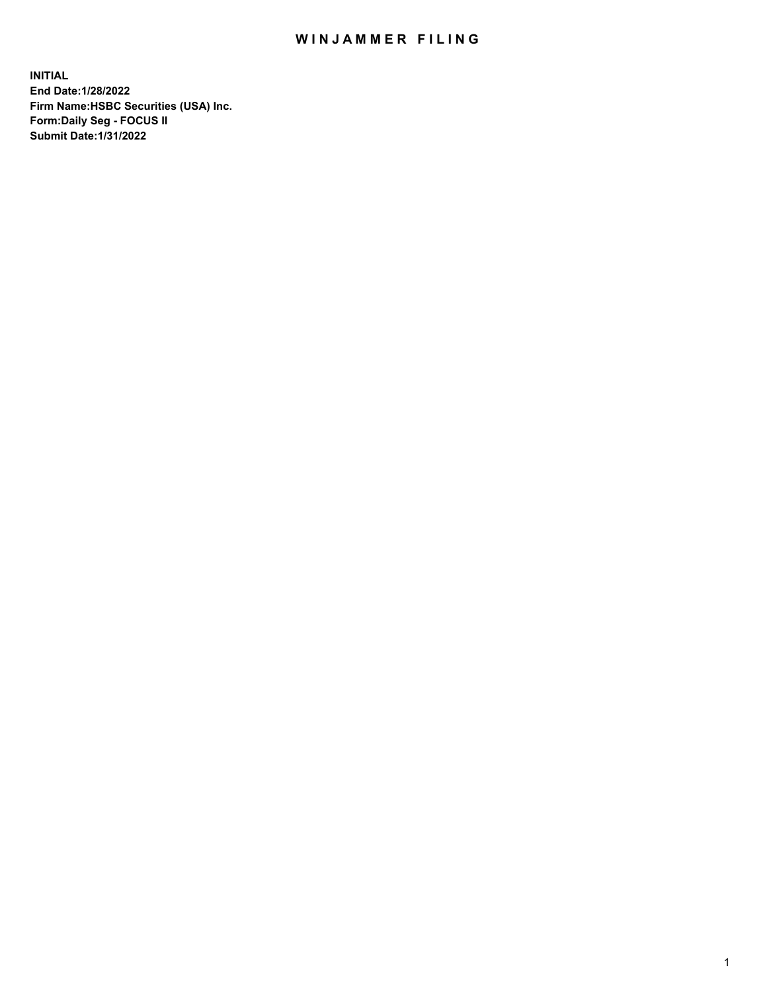## WIN JAMMER FILING

**INITIAL End Date:1/28/2022 Firm Name:HSBC Securities (USA) Inc. Form:Daily Seg - FOCUS II Submit Date:1/31/2022**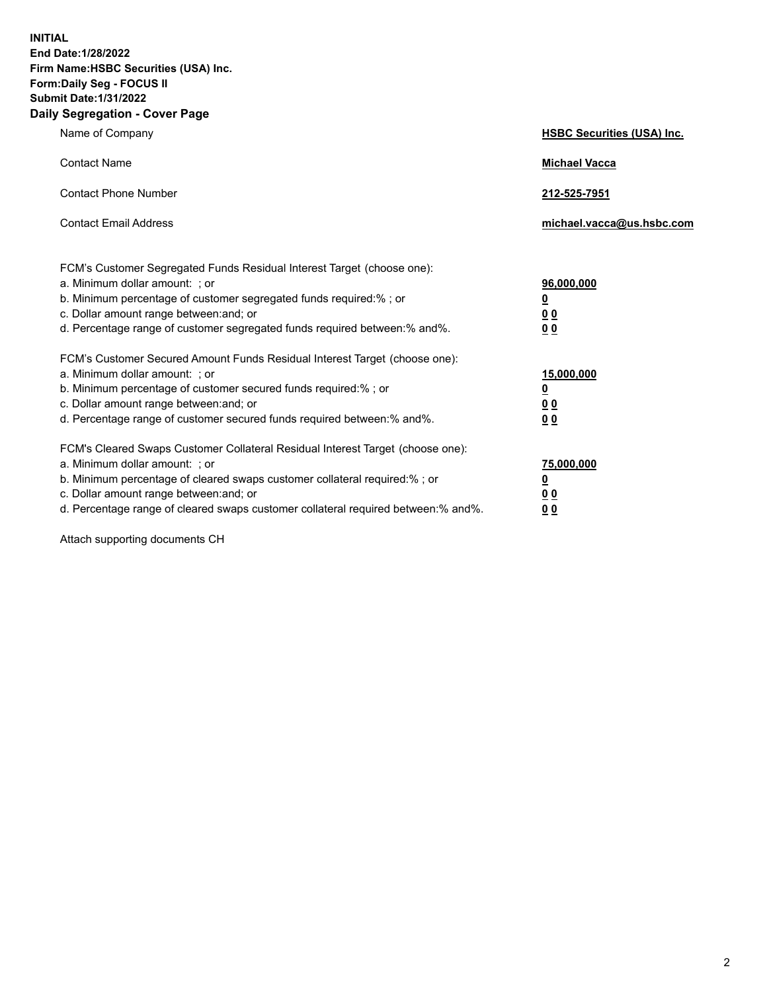**INITIAL End Date:1/28/2022 Firm Name:HSBC Securities (USA) Inc. Form:Daily Seg - FOCUS II Submit Date:1/31/2022 Daily Segregation - Cover Page**

| Name of Company                                                                                                                                                                                                                                                                                                                | <b>HSBC Securities (USA) Inc.</b>                                          |
|--------------------------------------------------------------------------------------------------------------------------------------------------------------------------------------------------------------------------------------------------------------------------------------------------------------------------------|----------------------------------------------------------------------------|
| <b>Contact Name</b>                                                                                                                                                                                                                                                                                                            | <b>Michael Vacca</b>                                                       |
| <b>Contact Phone Number</b>                                                                                                                                                                                                                                                                                                    | 212-525-7951                                                               |
| <b>Contact Email Address</b>                                                                                                                                                                                                                                                                                                   | michael.vacca@us.hsbc.com                                                  |
| FCM's Customer Segregated Funds Residual Interest Target (choose one):<br>a. Minimum dollar amount: ; or<br>b. Minimum percentage of customer segregated funds required:%; or<br>c. Dollar amount range between: and; or<br>d. Percentage range of customer segregated funds required between: % and %.                        | 96,000,000<br>$\underline{\mathbf{0}}$<br>0 <sub>0</sub><br>0 <sub>0</sub> |
| FCM's Customer Secured Amount Funds Residual Interest Target (choose one):<br>a. Minimum dollar amount: ; or<br>b. Minimum percentage of customer secured funds required:%; or<br>c. Dollar amount range between: and; or<br>d. Percentage range of customer secured funds required between: % and %.                          | 15,000,000<br><u>0</u><br>0 <sub>0</sub><br>0 <sub>0</sub>                 |
| FCM's Cleared Swaps Customer Collateral Residual Interest Target (choose one):<br>a. Minimum dollar amount: ; or<br>b. Minimum percentage of cleared swaps customer collateral required:% ; or<br>c. Dollar amount range between: and; or<br>d. Percentage range of cleared swaps customer collateral required between:% and%. | 75,000,000<br><u>0</u><br><u>00</u><br>00                                  |

Attach supporting documents CH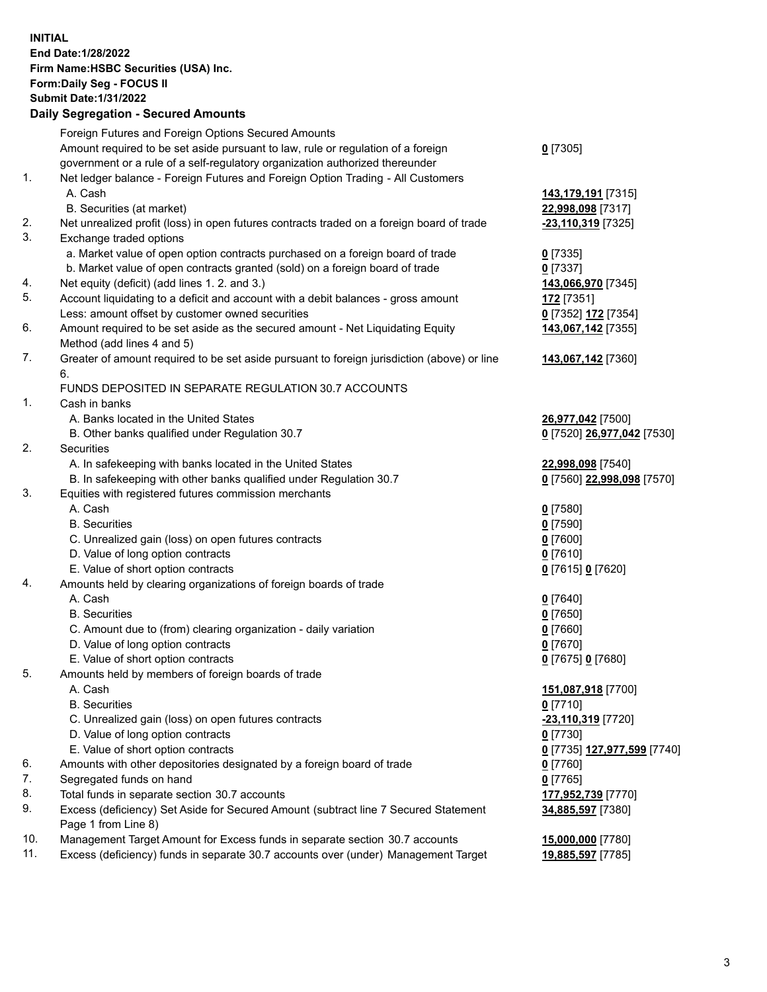**INITIAL End Date:1/28/2022 Firm Name:HSBC Securities (USA) Inc. Form:Daily Seg - FOCUS II Submit Date:1/31/2022 Daily Segregation - Secured Amounts** Foreign Futures and Foreign Options Secured Amounts Amount required to be set aside pursuant to law, rule or regulation of a foreign government or a rule of a self-regulatory organization authorized thereunder 1. Net ledger balance - Foreign Futures and Foreign Option Trading - All Customers A. Cash **143,179,191** [7315] B. Securities (at market) **22,998,098** [7317] 2. Net unrealized profit (loss) in open futures contracts traded on a foreign board of trade **-23,110,319** [7325] 3. Exchange traded options a. Market value of open option contracts purchased on a foreign board of trade **0** [7335] b. Market value of open contracts granted (sold) on a foreign board of trade **0** [7337] 4. Net equity (deficit) (add lines 1. 2. and 3.) **143,066,970** [7345] 5. Account liquidating to a deficit and account with a debit balances - gross amount **172** [7351] Less: amount offset by customer owned securities **0** [7352] **172** [7354] 6. Amount required to be set aside as the secured amount - Net Liquidating Equity Method (add lines 4 and 5) 7. Greater of amount required to be set aside pursuant to foreign jurisdiction (above) or line 6. FUNDS DEPOSITED IN SEPARATE REGULATION 30.7 ACCOUNTS 1. Cash in banks A. Banks located in the United States **26,977,042** [7500] B. Other banks qualified under Regulation 30.7 **0** [7520] **26,977,042** [7530] 2. Securities A. In safekeeping with banks located in the United States **22,998,098** [7540] B. In safekeeping with other banks qualified under Regulation 30.7 **0** [7560] **22,998,098** [7570] 3. Equities with registered futures commission merchants A. Cash **0** [7580] B. Securities **0** [7590] C. Unrealized gain (loss) on open futures contracts **0** [7600] D. Value of long option contracts **0** [7610] E. Value of short option contracts **0** [7615] **0** [7620] 4. Amounts held by clearing organizations of foreign boards of trade A. Cash **0** [7640] B. Securities **0** [7650] C. Amount due to (from) clearing organization - daily variation **0** [7660] D. Value of long option contracts **0** [7670] E. Value of short option contracts **0** [7675] **0** [7680]

**0** [7305]

**143,067,142** [7355]

**143,067,142** [7360]

**34,885,597** [7380]

- 
- 5. Amounts held by members of foreign boards of trade
	- A. Cash **151,087,918** [7700]
	- B. Securities **0** [7710]
	- C. Unrealized gain (loss) on open futures contracts **-23,110,319** [7720]
	- D. Value of long option contracts **0** [7730]
	- E. Value of short option contracts **0** [7735] **127,977,599** [7740]
- 6. Amounts with other depositories designated by a foreign board of trade **0** [7760]
- 7. Segregated funds on hand **0** [7765]
- 8. Total funds in separate section 30.7 accounts **177,952,739** [7770]
- 9. Excess (deficiency) Set Aside for Secured Amount (subtract line 7 Secured Statement Page 1 from Line 8)
- 10. Management Target Amount for Excess funds in separate section 30.7 accounts **15,000,000** [7780]
- 11. Excess (deficiency) funds in separate 30.7 accounts over (under) Management Target **19,885,597** [7785]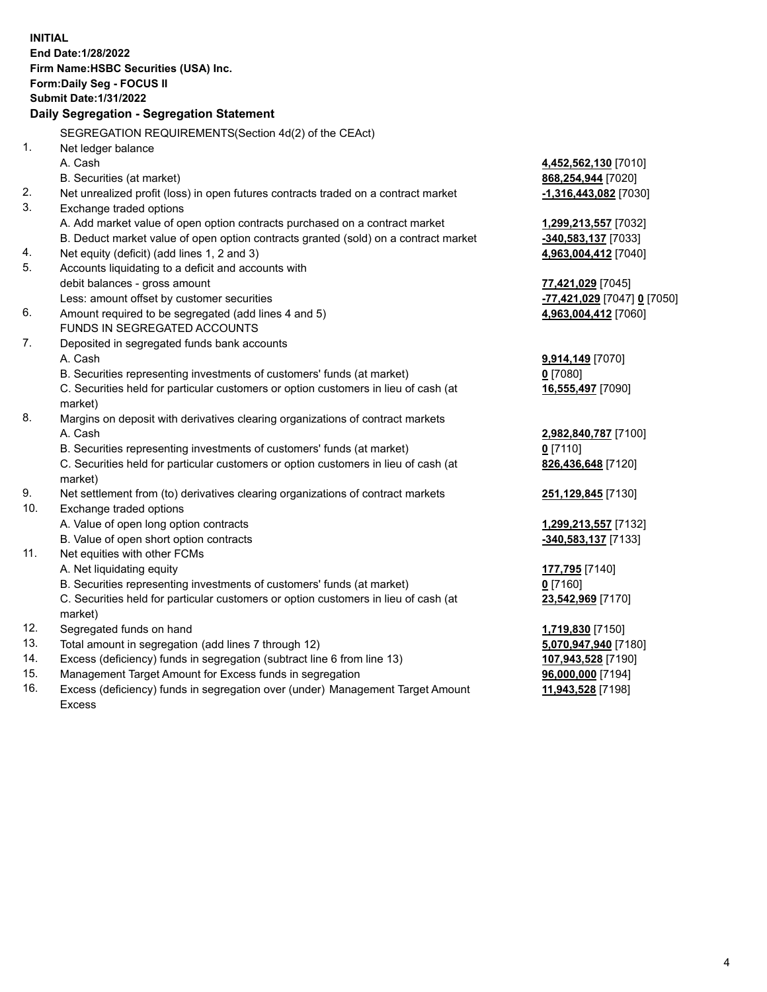**INITIAL End Date:1/28/2022 Firm Name:HSBC Securities (USA) Inc. Form:Daily Seg - FOCUS II Submit Date:1/31/2022 Daily Segregation - Segregation Statement** SEGREGATION REQUIREMENTS(Section 4d(2) of the CEAct) 1. Net ledger balance A. Cash **4,452,562,130** [7010] B. Securities (at market) **868,254,944** [7020] 2. Net unrealized profit (loss) in open futures contracts traded on a contract market **-1,316,443,082** [7030] 3. Exchange traded options A. Add market value of open option contracts purchased on a contract market **1,299,213,557** [7032] B. Deduct market value of open option contracts granted (sold) on a contract market **-340,583,137** [7033] 4. Net equity (deficit) (add lines 1, 2 and 3) **4,963,004,412** [7040] 5. Accounts liquidating to a deficit and accounts with debit balances - gross amount **77,421,029** [7045] Less: amount offset by customer securities **-77,421,029** [7047] **0** [7050] 6. Amount required to be segregated (add lines 4 and 5) **4,963,004,412** [7060] FUNDS IN SEGREGATED ACCOUNTS 7. Deposited in segregated funds bank accounts A. Cash **9,914,149** [7070] B. Securities representing investments of customers' funds (at market) **0** [7080] C. Securities held for particular customers or option customers in lieu of cash (at market) **16,555,497** [7090] 8. Margins on deposit with derivatives clearing organizations of contract markets A. Cash **2,982,840,787** [7100] B. Securities representing investments of customers' funds (at market) **0** [7110] C. Securities held for particular customers or option customers in lieu of cash (at market) **826,436,648** [7120] 9. Net settlement from (to) derivatives clearing organizations of contract markets **251,129,845** [7130] 10. Exchange traded options A. Value of open long option contracts **1,299,213,557** [7132] B. Value of open short option contracts **-340,583,137** [7133] 11. Net equities with other FCMs A. Net liquidating equity **177,795** [7140] B. Securities representing investments of customers' funds (at market) **0** [7160] C. Securities held for particular customers or option customers in lieu of cash (at market) **23,542,969** [7170] 12. Segregated funds on hand **1,719,830** [7150] 13. Total amount in segregation (add lines 7 through 12) **5,070,947,940** [7180] 14. Excess (deficiency) funds in segregation (subtract line 6 from line 13) **107,943,528** [7190] 15. Management Target Amount for Excess funds in segregation **96,000,000** [7194]

16. Excess (deficiency) funds in segregation over (under) Management Target Amount Excess

**11,943,528** [7198]